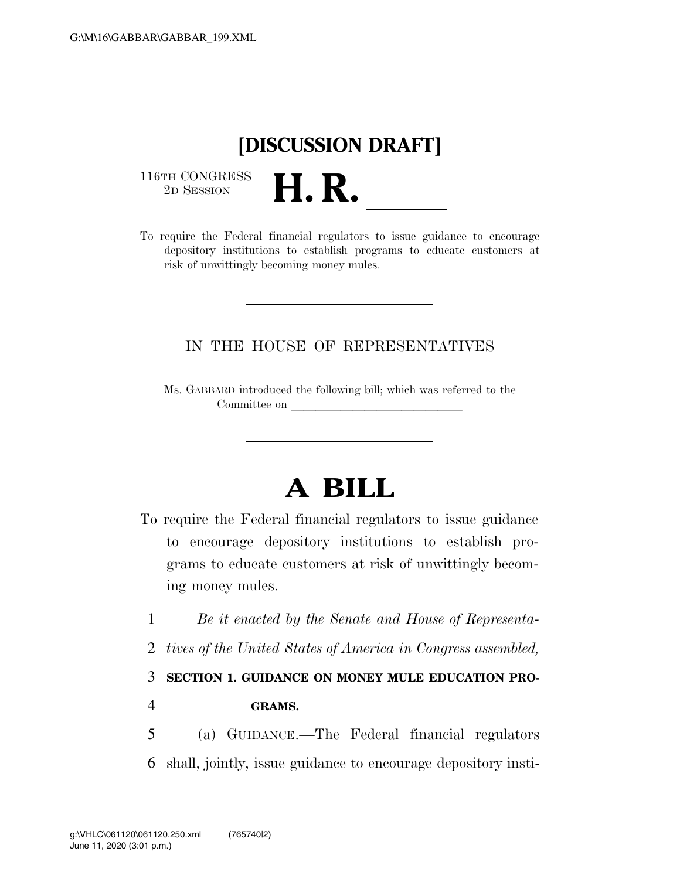## **[DISCUSSION DRAFT]**

 $\begin{array}{c} \textbf{116TH CONGRESS} \\ \textbf{2D SESION} \end{array}$ 



## IN THE HOUSE OF REPRESENTATIVES

Ms. GABBARD introduced the following bill; which was referred to the Committee on

## **A BILL**

- To require the Federal financial regulators to issue guidance to encourage depository institutions to establish programs to educate customers at risk of unwittingly becoming money mules.
	- 1 *Be it enacted by the Senate and House of Representa-*
	- 2 *tives of the United States of America in Congress assembled,*

3 **SECTION 1. GUIDANCE ON MONEY MULE EDUCATION PRO-**

4 **GRAMS.** 

5 (a) GUIDANCE.—The Federal financial regulators 6 shall, jointly, issue guidance to encourage depository insti